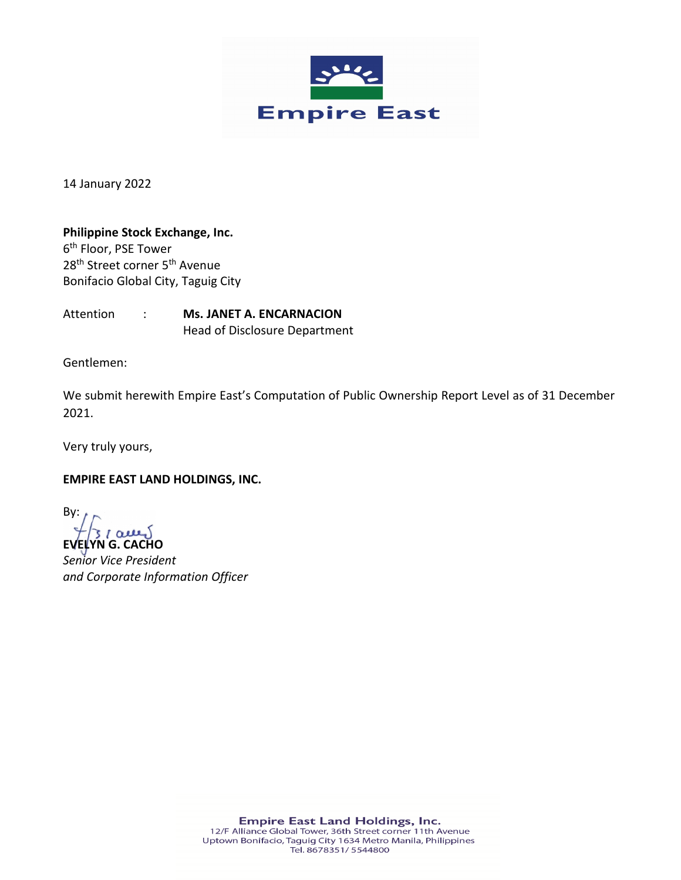

14 January 2022

**Philippine Stock Exchange, Inc.** 6th Floor, PSE Tower 28<sup>th</sup> Street corner 5<sup>th</sup> Avenue Bonifacio Global City, Taguig City

Attention : **Ms. JANET A. ENCARNACION** Head of Disclosure Department

Gentlemen:

We submit herewith Empire East's Computation of Public Ownership Report Level as of 31 December 2021.

Very truly yours,

**EMPIRE EAST LAND HOLDINGS, INC.**

By:  $31$  acres

**EVELYN G. CACHO** *Senior Vice President and Corporate Information Officer*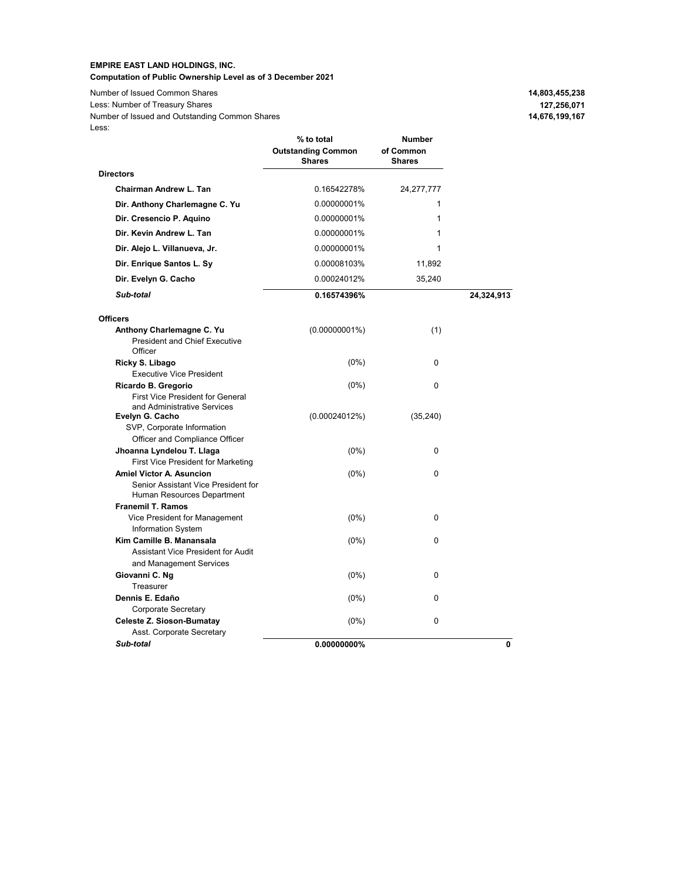## **EMPIRE EAST LAND HOLDINGS, INC. Computation of Public Ownership Level as of 3 December 2021**

**Number of Issued Common Shares** Less: Number of Treasury Shares Less: Number of Issued and Outstanding Common Shares

| 14,803,455,238 |
|----------------|
| 127,256,071    |
| 14,676,199,167 |

|                                                                                                      | % to total<br><b>Outstanding Common</b><br><b>Shares</b> | Number<br>of Common<br><b>Shares</b> |            |
|------------------------------------------------------------------------------------------------------|----------------------------------------------------------|--------------------------------------|------------|
| <b>Directors</b>                                                                                     |                                                          |                                      |            |
| Chairman Andrew L. Tan                                                                               | 0.16542278%                                              | 24, 277, 777                         |            |
| Dir. Anthony Charlemagne C. Yu                                                                       | 0.00000001%                                              | 1                                    |            |
| Dir. Cresencio P. Aquino                                                                             | 0.00000001%                                              | 1                                    |            |
| Dir. Kevin Andrew L. Tan                                                                             | 0.00000001%                                              | 1                                    |            |
| Dir. Alejo L. Villanueva, Jr.                                                                        | 0.00000001%                                              | 1                                    |            |
| Dir. Enrique Santos L. Sy                                                                            | 0.00008103%                                              | 11,892                               |            |
| Dir. Evelyn G. Cacho                                                                                 | 0.00024012%                                              | 35,240                               |            |
| Sub-total                                                                                            | 0.16574396%                                              |                                      | 24,324,913 |
| <b>Officers</b>                                                                                      |                                                          |                                      |            |
| Anthony Charlemagne C. Yu<br><b>President and Chief Executive</b><br>Officer                         | $(0.00000001\%)$                                         | (1)                                  |            |
| Ricky S. Libago<br><b>Executive Vice President</b>                                                   | $(0\%)$                                                  | 0                                    |            |
| Ricardo B. Gregorio<br><b>First Vice President for General</b><br>and Administrative Services        | $(0\%)$                                                  | 0                                    |            |
| Evelyn G. Cacho<br>SVP, Corporate Information<br>Officer and Compliance Officer                      | (0.00024012%)                                            | (35, 240)                            |            |
| Jhoanna Lyndelou T. Llaga<br>First Vice President for Marketing                                      | $(0\%)$                                                  | 0                                    |            |
| <b>Amiel Victor A. Asuncion</b><br>Senior Assistant Vice President for<br>Human Resources Department | $(0\%)$                                                  | 0                                    |            |
| <b>Franemil T. Ramos</b>                                                                             |                                                          |                                      |            |
| Vice President for Management<br><b>Information System</b>                                           | $(0\%)$                                                  | 0                                    |            |
| Kim Camille B. Manansala<br>Assistant Vice President for Audit<br>and Management Services            | $(0\%)$                                                  | 0                                    |            |
| Giovanni C. Ng<br>Treasurer                                                                          | $(0\%)$                                                  | 0                                    |            |
| Dennis E. Edaño<br>Corporate Secretary                                                               | $(0\%)$                                                  | 0                                    |            |
| Celeste Z. Sioson-Bumatay<br>Asst. Corporate Secretary                                               | $(0\%)$                                                  | 0                                    |            |
| Sub-total                                                                                            | $0.00000000\%$                                           |                                      | 0          |